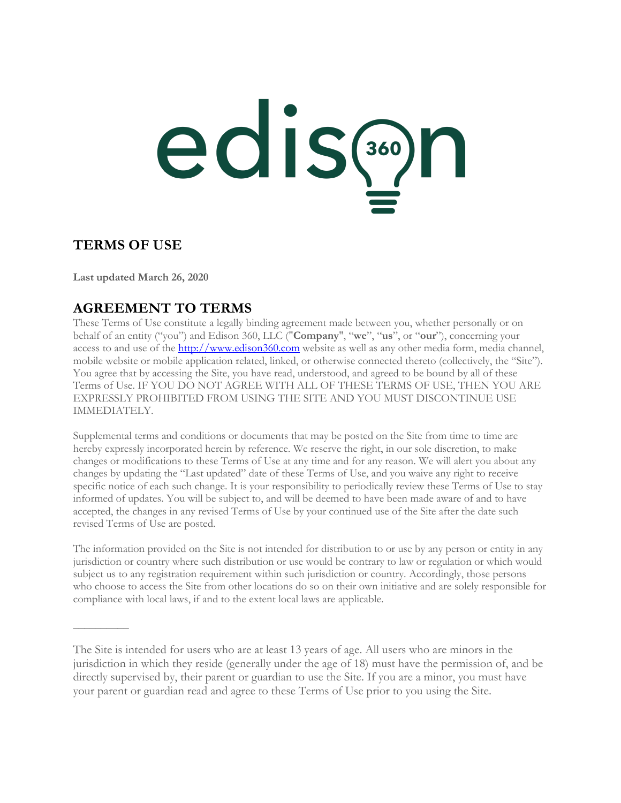# edis(360)

#### **TERMS OF USE**

 $\overline{\phantom{a}}$  , where  $\overline{\phantom{a}}$ 

**Last updated March 26, 2020**

#### **AGREEMENT TO TERMS**

These Terms of Use constitute a legally binding agreement made between you, whether personally or on behalf of an entity ("you") and Edison 360, LLC ("**Company**", "**we**", "**us**", or "**our**"), concerning your access to and use of the http://www.edison360.com website as well as any other media form, media channel, mobile website or mobile application related, linked, or otherwise connected thereto (collectively, the "Site"). You agree that by accessing the Site, you have read, understood, and agreed to be bound by all of these Terms of Use. IF YOU DO NOT AGREE WITH ALL OF THESE TERMS OF USE, THEN YOU ARE EXPRESSLY PROHIBITED FROM USING THE SITE AND YOU MUST DISCONTINUE USE IMMEDIATELY.

Supplemental terms and conditions or documents that may be posted on the Site from time to time are hereby expressly incorporated herein by reference. We reserve the right, in our sole discretion, to make changes or modifications to these Terms of Use at any time and for any reason. We will alert you about any changes by updating the "Last updated" date of these Terms of Use, and you waive any right to receive specific notice of each such change. It is your responsibility to periodically review these Terms of Use to stay informed of updates. You will be subject to, and will be deemed to have been made aware of and to have accepted, the changes in any revised Terms of Use by your continued use of the Site after the date such revised Terms of Use are posted.

The information provided on the Site is not intended for distribution to or use by any person or entity in any jurisdiction or country where such distribution or use would be contrary to law or regulation or which would subject us to any registration requirement within such jurisdiction or country. Accordingly, those persons who choose to access the Site from other locations do so on their own initiative and are solely responsible for compliance with local laws, if and to the extent local laws are applicable.

The Site is intended for users who are at least 13 years of age. All users who are minors in the jurisdiction in which they reside (generally under the age of 18) must have the permission of, and be directly supervised by, their parent or guardian to use the Site. If you are a minor, you must have your parent or guardian read and agree to these Terms of Use prior to you using the Site.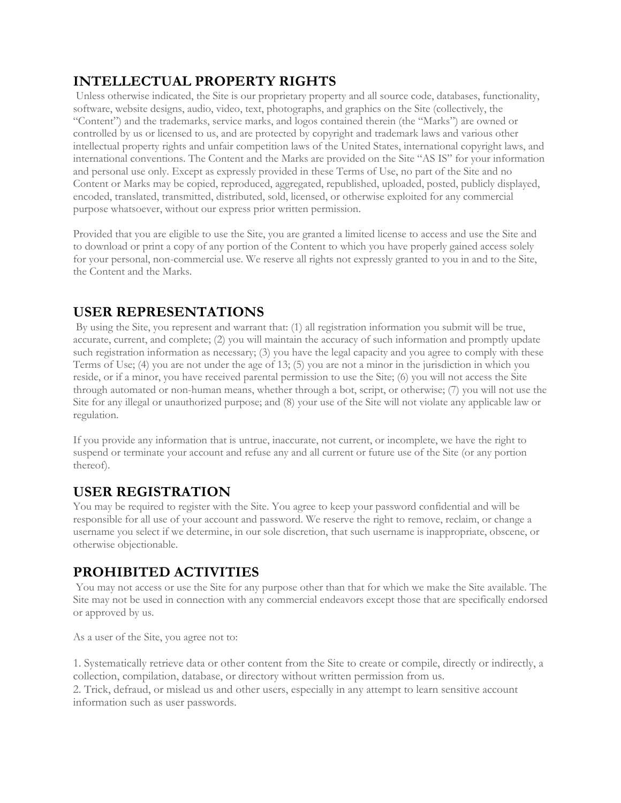# **INTELLECTUAL PROPERTY RIGHTS**

Unless otherwise indicated, the Site is our proprietary property and all source code, databases, functionality, software, website designs, audio, video, text, photographs, and graphics on the Site (collectively, the "Content") and the trademarks, service marks, and logos contained therein (the "Marks") are owned or controlled by us or licensed to us, and are protected by copyright and trademark laws and various other intellectual property rights and unfair competition laws of the United States, international copyright laws, and international conventions. The Content and the Marks are provided on the Site "AS IS" for your information and personal use only. Except as expressly provided in these Terms of Use, no part of the Site and no Content or Marks may be copied, reproduced, aggregated, republished, uploaded, posted, publicly displayed, encoded, translated, transmitted, distributed, sold, licensed, or otherwise exploited for any commercial purpose whatsoever, without our express prior written permission.

Provided that you are eligible to use the Site, you are granted a limited license to access and use the Site and to download or print a copy of any portion of the Content to which you have properly gained access solely for your personal, non-commercial use. We reserve all rights not expressly granted to you in and to the Site, the Content and the Marks.

#### **USER REPRESENTATIONS**

By using the Site, you represent and warrant that: (1) all registration information you submit will be true, accurate, current, and complete; (2) you will maintain the accuracy of such information and promptly update such registration information as necessary; (3) you have the legal capacity and you agree to comply with these Terms of Use; (4) you are not under the age of 13; (5) you are not a minor in the jurisdiction in which you reside, or if a minor, you have received parental permission to use the Site; (6) you will not access the Site through automated or non-human means, whether through a bot, script, or otherwise; (7) you will not use the Site for any illegal or unauthorized purpose; and (8) your use of the Site will not violate any applicable law or regulation.

If you provide any information that is untrue, inaccurate, not current, or incomplete, we have the right to suspend or terminate your account and refuse any and all current or future use of the Site (or any portion thereof).

#### **USER REGISTRATION**

You may be required to register with the Site. You agree to keep your password confidential and will be responsible for all use of your account and password. We reserve the right to remove, reclaim, or change a username you select if we determine, in our sole discretion, that such username is inappropriate, obscene, or otherwise objectionable.

#### **PROHIBITED ACTIVITIES**

You may not access or use the Site for any purpose other than that for which we make the Site available. The Site may not be used in connection with any commercial endeavors except those that are specifically endorsed or approved by us.

As a user of the Site, you agree not to:

1. Systematically retrieve data or other content from the Site to create or compile, directly or indirectly, a collection, compilation, database, or directory without written permission from us.

2. Trick, defraud, or mislead us and other users, especially in any attempt to learn sensitive account information such as user passwords.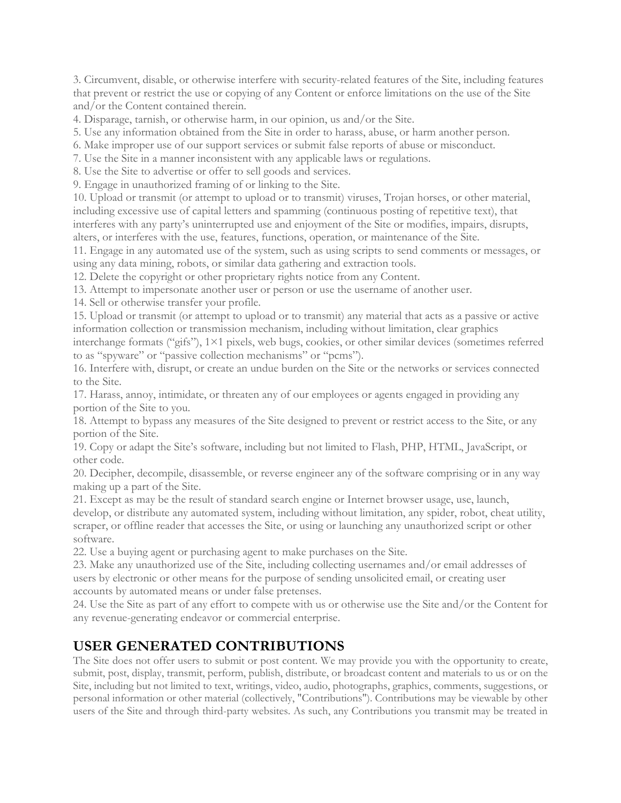3. Circumvent, disable, or otherwise interfere with security-related features of the Site, including features that prevent or restrict the use or copying of any Content or enforce limitations on the use of the Site and/or the Content contained therein.

4. Disparage, tarnish, or otherwise harm, in our opinion, us and/or the Site.

5. Use any information obtained from the Site in order to harass, abuse, or harm another person.

6. Make improper use of our support services or submit false reports of abuse or misconduct.

7. Use the Site in a manner inconsistent with any applicable laws or regulations.

8. Use the Site to advertise or offer to sell goods and services.

9. Engage in unauthorized framing of or linking to the Site.

10. Upload or transmit (or attempt to upload or to transmit) viruses, Trojan horses, or other material, including excessive use of capital letters and spamming (continuous posting of repetitive text), that interferes with any party's uninterrupted use and enjoyment of the Site or modifies, impairs, disrupts, alters, or interferes with the use, features, functions, operation, or maintenance of the Site.

11. Engage in any automated use of the system, such as using scripts to send comments or messages, or using any data mining, robots, or similar data gathering and extraction tools.

12. Delete the copyright or other proprietary rights notice from any Content.

13. Attempt to impersonate another user or person or use the username of another user.

14. Sell or otherwise transfer your profile.

15. Upload or transmit (or attempt to upload or to transmit) any material that acts as a passive or active information collection or transmission mechanism, including without limitation, clear graphics

interchange formats ("gifs"), 1×1 pixels, web bugs, cookies, or other similar devices (sometimes referred to as "spyware" or "passive collection mechanisms" or "pcms").

16. Interfere with, disrupt, or create an undue burden on the Site or the networks or services connected to the Site.

17. Harass, annoy, intimidate, or threaten any of our employees or agents engaged in providing any portion of the Site to you.

18. Attempt to bypass any measures of the Site designed to prevent or restrict access to the Site, or any portion of the Site.

19. Copy or adapt the Site's software, including but not limited to Flash, PHP, HTML, JavaScript, or other code.

20. Decipher, decompile, disassemble, or reverse engineer any of the software comprising or in any way making up a part of the Site.

21. Except as may be the result of standard search engine or Internet browser usage, use, launch, develop, or distribute any automated system, including without limitation, any spider, robot, cheat utility, scraper, or offline reader that accesses the Site, or using or launching any unauthorized script or other software.

22. Use a buying agent or purchasing agent to make purchases on the Site.

23. Make any unauthorized use of the Site, including collecting usernames and/or email addresses of users by electronic or other means for the purpose of sending unsolicited email, or creating user accounts by automated means or under false pretenses.

24. Use the Site as part of any effort to compete with us or otherwise use the Site and/or the Content for any revenue-generating endeavor or commercial enterprise.

# **USER GENERATED CONTRIBUTIONS**

The Site does not offer users to submit or post content. We may provide you with the opportunity to create, submit, post, display, transmit, perform, publish, distribute, or broadcast content and materials to us or on the Site, including but not limited to text, writings, video, audio, photographs, graphics, comments, suggestions, or personal information or other material (collectively, "Contributions"). Contributions may be viewable by other users of the Site and through third-party websites. As such, any Contributions you transmit may be treated in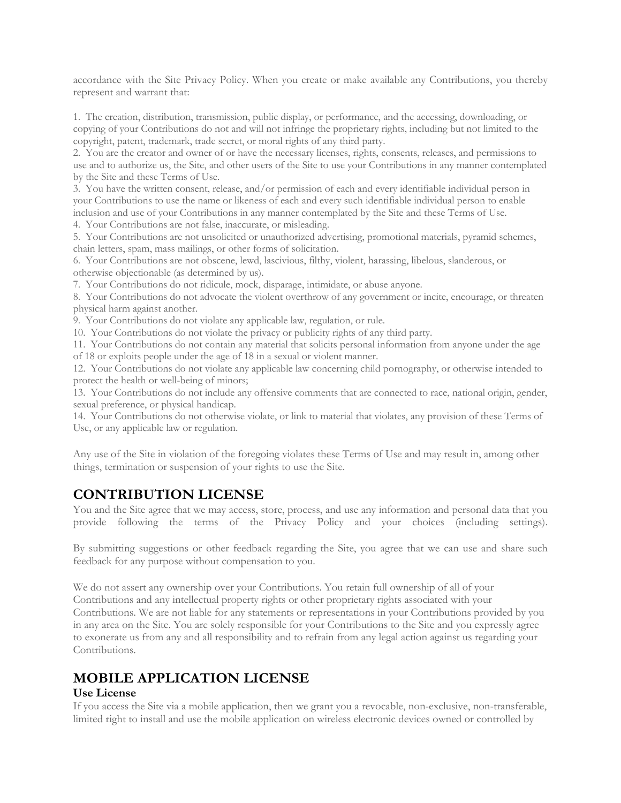accordance with the Site Privacy Policy. When you create or make available any Contributions, you thereby represent and warrant that:

1. The creation, distribution, transmission, public display, or performance, and the accessing, downloading, or copying of your Contributions do not and will not infringe the proprietary rights, including but not limited to the copyright, patent, trademark, trade secret, or moral rights of any third party.

2. You are the creator and owner of or have the necessary licenses, rights, consents, releases, and permissions to use and to authorize us, the Site, and other users of the Site to use your Contributions in any manner contemplated by the Site and these Terms of Use.

3. You have the written consent, release, and/or permission of each and every identifiable individual person in your Contributions to use the name or likeness of each and every such identifiable individual person to enable inclusion and use of your Contributions in any manner contemplated by the Site and these Terms of Use.

4. Your Contributions are not false, inaccurate, or misleading.

5. Your Contributions are not unsolicited or unauthorized advertising, promotional materials, pyramid schemes, chain letters, spam, mass mailings, or other forms of solicitation.

6. Your Contributions are not obscene, lewd, lascivious, filthy, violent, harassing, libelous, slanderous, or otherwise objectionable (as determined by us).

7. Your Contributions do not ridicule, mock, disparage, intimidate, or abuse anyone.

8. Your Contributions do not advocate the violent overthrow of any government or incite, encourage, or threaten physical harm against another.

9. Your Contributions do not violate any applicable law, regulation, or rule.

10. Your Contributions do not violate the privacy or publicity rights of any third party.

11. Your Contributions do not contain any material that solicits personal information from anyone under the age of 18 or exploits people under the age of 18 in a sexual or violent manner.

12. Your Contributions do not violate any applicable law concerning child pornography, or otherwise intended to protect the health or well-being of minors;

13. Your Contributions do not include any offensive comments that are connected to race, national origin, gender, sexual preference, or physical handicap.

14. Your Contributions do not otherwise violate, or link to material that violates, any provision of these Terms of Use, or any applicable law or regulation.

Any use of the Site in violation of the foregoing violates these Terms of Use and may result in, among other things, termination or suspension of your rights to use the Site.

#### **CONTRIBUTION LICENSE**

You and the Site agree that we may access, store, process, and use any information and personal data that you provide following the terms of the Privacy Policy and your choices (including settings).

By submitting suggestions or other feedback regarding the Site, you agree that we can use and share such feedback for any purpose without compensation to you.

We do not assert any ownership over your Contributions. You retain full ownership of all of your Contributions and any intellectual property rights or other proprietary rights associated with your Contributions. We are not liable for any statements or representations in your Contributions provided by you in any area on the Site. You are solely responsible for your Contributions to the Site and you expressly agree to exonerate us from any and all responsibility and to refrain from any legal action against us regarding your Contributions.

#### **MOBILE APPLICATION LICENSE**

#### **Use License**

If you access the Site via a mobile application, then we grant you a revocable, non-exclusive, non-transferable, limited right to install and use the mobile application on wireless electronic devices owned or controlled by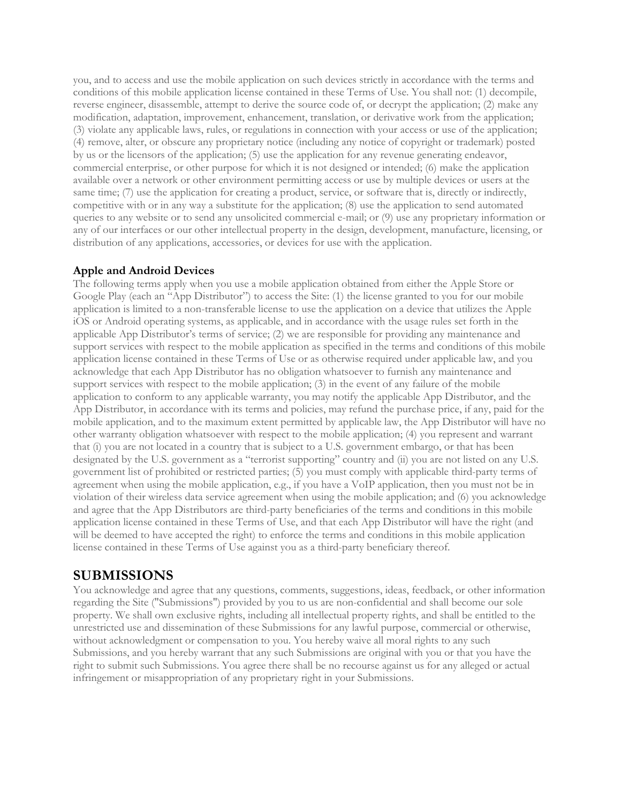you, and to access and use the mobile application on such devices strictly in accordance with the terms and conditions of this mobile application license contained in these Terms of Use. You shall not: (1) decompile, reverse engineer, disassemble, attempt to derive the source code of, or decrypt the application; (2) make any modification, adaptation, improvement, enhancement, translation, or derivative work from the application; (3) violate any applicable laws, rules, or regulations in connection with your access or use of the application; (4) remove, alter, or obscure any proprietary notice (including any notice of copyright or trademark) posted by us or the licensors of the application; (5) use the application for any revenue generating endeavor, commercial enterprise, or other purpose for which it is not designed or intended; (6) make the application available over a network or other environment permitting access or use by multiple devices or users at the same time; (7) use the application for creating a product, service, or software that is, directly or indirectly, competitive with or in any way a substitute for the application; (8) use the application to send automated queries to any website or to send any unsolicited commercial e-mail; or (9) use any proprietary information or any of our interfaces or our other intellectual property in the design, development, manufacture, licensing, or distribution of any applications, accessories, or devices for use with the application.

#### **Apple and Android Devices**

The following terms apply when you use a mobile application obtained from either the Apple Store or Google Play (each an "App Distributor") to access the Site: (1) the license granted to you for our mobile application is limited to a non-transferable license to use the application on a device that utilizes the Apple iOS or Android operating systems, as applicable, and in accordance with the usage rules set forth in the applicable App Distributor's terms of service; (2) we are responsible for providing any maintenance and support services with respect to the mobile application as specified in the terms and conditions of this mobile application license contained in these Terms of Use or as otherwise required under applicable law, and you acknowledge that each App Distributor has no obligation whatsoever to furnish any maintenance and support services with respect to the mobile application; (3) in the event of any failure of the mobile application to conform to any applicable warranty, you may notify the applicable App Distributor, and the App Distributor, in accordance with its terms and policies, may refund the purchase price, if any, paid for the mobile application, and to the maximum extent permitted by applicable law, the App Distributor will have no other warranty obligation whatsoever with respect to the mobile application; (4) you represent and warrant that (i) you are not located in a country that is subject to a U.S. government embargo, or that has been designated by the U.S. government as a "terrorist supporting" country and (ii) you are not listed on any U.S. government list of prohibited or restricted parties; (5) you must comply with applicable third-party terms of agreement when using the mobile application, e.g., if you have a VoIP application, then you must not be in violation of their wireless data service agreement when using the mobile application; and (6) you acknowledge and agree that the App Distributors are third-party beneficiaries of the terms and conditions in this mobile application license contained in these Terms of Use, and that each App Distributor will have the right (and will be deemed to have accepted the right) to enforce the terms and conditions in this mobile application license contained in these Terms of Use against you as a third-party beneficiary thereof.

#### **SUBMISSIONS**

You acknowledge and agree that any questions, comments, suggestions, ideas, feedback, or other information regarding the Site ("Submissions") provided by you to us are non-confidential and shall become our sole property. We shall own exclusive rights, including all intellectual property rights, and shall be entitled to the unrestricted use and dissemination of these Submissions for any lawful purpose, commercial or otherwise, without acknowledgment or compensation to you. You hereby waive all moral rights to any such Submissions, and you hereby warrant that any such Submissions are original with you or that you have the right to submit such Submissions. You agree there shall be no recourse against us for any alleged or actual infringement or misappropriation of any proprietary right in your Submissions.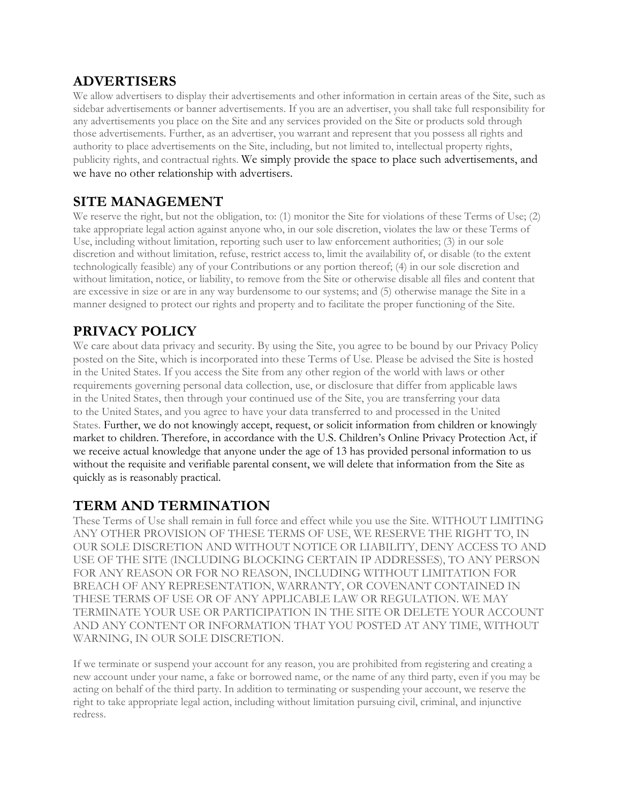#### **ADVERTISERS**

We allow advertisers to display their advertisements and other information in certain areas of the Site, such as sidebar advertisements or banner advertisements. If you are an advertiser, you shall take full responsibility for any advertisements you place on the Site and any services provided on the Site or products sold through those advertisements. Further, as an advertiser, you warrant and represent that you possess all rights and authority to place advertisements on the Site, including, but not limited to, intellectual property rights, publicity rights, and contractual rights. We simply provide the space to place such advertisements, and we have no other relationship with advertisers.

#### **SITE MANAGEMENT**

We reserve the right, but not the obligation, to: (1) monitor the Site for violations of these Terms of Use; (2) take appropriate legal action against anyone who, in our sole discretion, violates the law or these Terms of Use, including without limitation, reporting such user to law enforcement authorities; (3) in our sole discretion and without limitation, refuse, restrict access to, limit the availability of, or disable (to the extent technologically feasible) any of your Contributions or any portion thereof; (4) in our sole discretion and without limitation, notice, or liability, to remove from the Site or otherwise disable all files and content that are excessive in size or are in any way burdensome to our systems; and (5) otherwise manage the Site in a manner designed to protect our rights and property and to facilitate the proper functioning of the Site.

# **PRIVACY POLICY**

We care about data privacy and security. By using the Site, you agree to be bound by our Privacy Policy posted on the Site, which is incorporated into these Terms of Use. Please be advised the Site is hosted in the United States. If you access the Site from any other region of the world with laws or other requirements governing personal data collection, use, or disclosure that differ from applicable laws in the United States, then through your continued use of the Site, you are transferring your data to the United States, and you agree to have your data transferred to and processed in the United States. Further, we do not knowingly accept, request, or solicit information from children or knowingly market to children. Therefore, in accordance with the U.S. Children's Online Privacy Protection Act, if we receive actual knowledge that anyone under the age of 13 has provided personal information to us without the requisite and verifiable parental consent, we will delete that information from the Site as quickly as is reasonably practical.

#### **TERM AND TERMINATION**

These Terms of Use shall remain in full force and effect while you use the Site. WITHOUT LIMITING ANY OTHER PROVISION OF THESE TERMS OF USE, WE RESERVE THE RIGHT TO, IN OUR SOLE DISCRETION AND WITHOUT NOTICE OR LIABILITY, DENY ACCESS TO AND USE OF THE SITE (INCLUDING BLOCKING CERTAIN IP ADDRESSES), TO ANY PERSON FOR ANY REASON OR FOR NO REASON, INCLUDING WITHOUT LIMITATION FOR BREACH OF ANY REPRESENTATION, WARRANTY, OR COVENANT CONTAINED IN THESE TERMS OF USE OR OF ANY APPLICABLE LAW OR REGULATION. WE MAY TERMINATE YOUR USE OR PARTICIPATION IN THE SITE OR DELETE YOUR ACCOUNT AND ANY CONTENT OR INFORMATION THAT YOU POSTED AT ANY TIME, WITHOUT WARNING, IN OUR SOLE DISCRETION.

If we terminate or suspend your account for any reason, you are prohibited from registering and creating a new account under your name, a fake or borrowed name, or the name of any third party, even if you may be acting on behalf of the third party. In addition to terminating or suspending your account, we reserve the right to take appropriate legal action, including without limitation pursuing civil, criminal, and injunctive redress.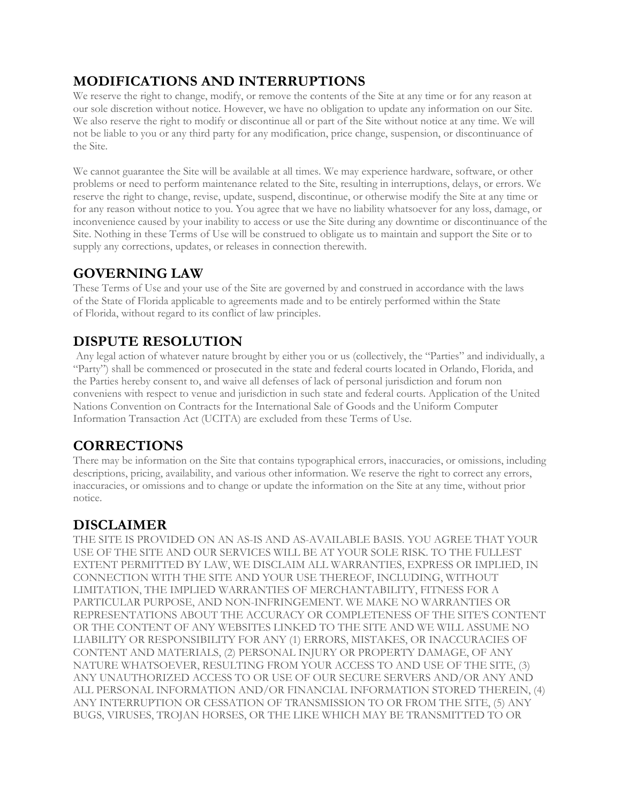# **MODIFICATIONS AND INTERRUPTIONS**

We reserve the right to change, modify, or remove the contents of the Site at any time or for any reason at our sole discretion without notice. However, we have no obligation to update any information on our Site. We also reserve the right to modify or discontinue all or part of the Site without notice at any time. We will not be liable to you or any third party for any modification, price change, suspension, or discontinuance of the Site.

We cannot guarantee the Site will be available at all times. We may experience hardware, software, or other problems or need to perform maintenance related to the Site, resulting in interruptions, delays, or errors. We reserve the right to change, revise, update, suspend, discontinue, or otherwise modify the Site at any time or for any reason without notice to you. You agree that we have no liability whatsoever for any loss, damage, or inconvenience caused by your inability to access or use the Site during any downtime or discontinuance of the Site. Nothing in these Terms of Use will be construed to obligate us to maintain and support the Site or to supply any corrections, updates, or releases in connection therewith.

#### **GOVERNING LAW**

These Terms of Use and your use of the Site are governed by and construed in accordance with the laws of the State of Florida applicable to agreements made and to be entirely performed within the State of Florida, without regard to its conflict of law principles.

#### **DISPUTE RESOLUTION**

Any legal action of whatever nature brought by either you or us (collectively, the "Parties" and individually, a "Party") shall be commenced or prosecuted in the state and federal courts located in Orlando, Florida, and the Parties hereby consent to, and waive all defenses of lack of personal jurisdiction and forum non conveniens with respect to venue and jurisdiction in such state and federal courts. Application of the United Nations Convention on Contracts for the International Sale of Goods and the Uniform Computer Information Transaction Act (UCITA) are excluded from these Terms of Use.

#### **CORRECTIONS**

There may be information on the Site that contains typographical errors, inaccuracies, or omissions, including descriptions, pricing, availability, and various other information. We reserve the right to correct any errors, inaccuracies, or omissions and to change or update the information on the Site at any time, without prior notice.

#### **DISCLAIMER**

THE SITE IS PROVIDED ON AN AS-IS AND AS-AVAILABLE BASIS. YOU AGREE THAT YOUR USE OF THE SITE AND OUR SERVICES WILL BE AT YOUR SOLE RISK. TO THE FULLEST EXTENT PERMITTED BY LAW, WE DISCLAIM ALL WARRANTIES, EXPRESS OR IMPLIED, IN CONNECTION WITH THE SITE AND YOUR USE THEREOF, INCLUDING, WITHOUT LIMITATION, THE IMPLIED WARRANTIES OF MERCHANTABILITY, FITNESS FOR A PARTICULAR PURPOSE, AND NON-INFRINGEMENT. WE MAKE NO WARRANTIES OR REPRESENTATIONS ABOUT THE ACCURACY OR COMPLETENESS OF THE SITE'S CONTENT OR THE CONTENT OF ANY WEBSITES LINKED TO THE SITE AND WE WILL ASSUME NO LIABILITY OR RESPONSIBILITY FOR ANY (1) ERRORS, MISTAKES, OR INACCURACIES OF CONTENT AND MATERIALS, (2) PERSONAL INJURY OR PROPERTY DAMAGE, OF ANY NATURE WHATSOEVER, RESULTING FROM YOUR ACCESS TO AND USE OF THE SITE, (3) ANY UNAUTHORIZED ACCESS TO OR USE OF OUR SECURE SERVERS AND/OR ANY AND ALL PERSONAL INFORMATION AND/OR FINANCIAL INFORMATION STORED THEREIN, (4) ANY INTERRUPTION OR CESSATION OF TRANSMISSION TO OR FROM THE SITE, (5) ANY BUGS, VIRUSES, TROJAN HORSES, OR THE LIKE WHICH MAY BE TRANSMITTED TO OR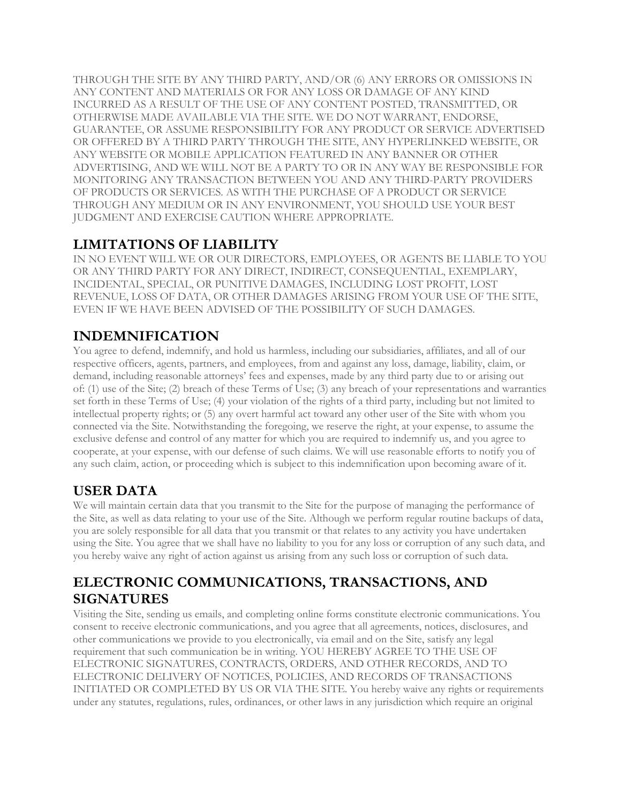THROUGH THE SITE BY ANY THIRD PARTY, AND/OR (6) ANY ERRORS OR OMISSIONS IN ANY CONTENT AND MATERIALS OR FOR ANY LOSS OR DAMAGE OF ANY KIND INCURRED AS A RESULT OF THE USE OF ANY CONTENT POSTED, TRANSMITTED, OR OTHERWISE MADE AVAILABLE VIA THE SITE. WE DO NOT WARRANT, ENDORSE, GUARANTEE, OR ASSUME RESPONSIBILITY FOR ANY PRODUCT OR SERVICE ADVERTISED OR OFFERED BY A THIRD PARTY THROUGH THE SITE, ANY HYPERLINKED WEBSITE, OR ANY WEBSITE OR MOBILE APPLICATION FEATURED IN ANY BANNER OR OTHER ADVERTISING, AND WE WILL NOT BE A PARTY TO OR IN ANY WAY BE RESPONSIBLE FOR MONITORING ANY TRANSACTION BETWEEN YOU AND ANY THIRD-PARTY PROVIDERS OF PRODUCTS OR SERVICES. AS WITH THE PURCHASE OF A PRODUCT OR SERVICE THROUGH ANY MEDIUM OR IN ANY ENVIRONMENT, YOU SHOULD USE YOUR BEST JUDGMENT AND EXERCISE CAUTION WHERE APPROPRIATE.

# **LIMITATIONS OF LIABILITY**

IN NO EVENT WILL WE OR OUR DIRECTORS, EMPLOYEES, OR AGENTS BE LIABLE TO YOU OR ANY THIRD PARTY FOR ANY DIRECT, INDIRECT, CONSEQUENTIAL, EXEMPLARY, INCIDENTAL, SPECIAL, OR PUNITIVE DAMAGES, INCLUDING LOST PROFIT, LOST REVENUE, LOSS OF DATA, OR OTHER DAMAGES ARISING FROM YOUR USE OF THE SITE, EVEN IF WE HAVE BEEN ADVISED OF THE POSSIBILITY OF SUCH DAMAGES.

#### **INDEMNIFICATION**

You agree to defend, indemnify, and hold us harmless, including our subsidiaries, affiliates, and all of our respective officers, agents, partners, and employees, from and against any loss, damage, liability, claim, or demand, including reasonable attorneys' fees and expenses, made by any third party due to or arising out of: (1) use of the Site; (2) breach of these Terms of Use; (3) any breach of your representations and warranties set forth in these Terms of Use; (4) your violation of the rights of a third party, including but not limited to intellectual property rights; or (5) any overt harmful act toward any other user of the Site with whom you connected via the Site. Notwithstanding the foregoing, we reserve the right, at your expense, to assume the exclusive defense and control of any matter for which you are required to indemnify us, and you agree to cooperate, at your expense, with our defense of such claims. We will use reasonable efforts to notify you of any such claim, action, or proceeding which is subject to this indemnification upon becoming aware of it.

# **USER DATA**

We will maintain certain data that you transmit to the Site for the purpose of managing the performance of the Site, as well as data relating to your use of the Site. Although we perform regular routine backups of data, you are solely responsible for all data that you transmit or that relates to any activity you have undertaken using the Site. You agree that we shall have no liability to you for any loss or corruption of any such data, and you hereby waive any right of action against us arising from any such loss or corruption of such data.

# **ELECTRONIC COMMUNICATIONS, TRANSACTIONS, AND SIGNATURES**

Visiting the Site, sending us emails, and completing online forms constitute electronic communications. You consent to receive electronic communications, and you agree that all agreements, notices, disclosures, and other communications we provide to you electronically, via email and on the Site, satisfy any legal requirement that such communication be in writing. YOU HEREBY AGREE TO THE USE OF ELECTRONIC SIGNATURES, CONTRACTS, ORDERS, AND OTHER RECORDS, AND TO ELECTRONIC DELIVERY OF NOTICES, POLICIES, AND RECORDS OF TRANSACTIONS INITIATED OR COMPLETED BY US OR VIA THE SITE. You hereby waive any rights or requirements under any statutes, regulations, rules, ordinances, or other laws in any jurisdiction which require an original